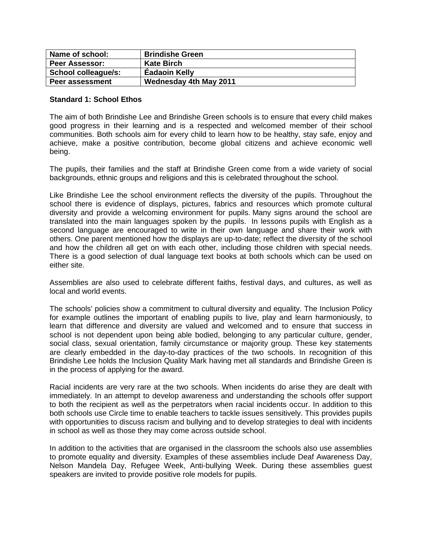| Name of school:        | <b>Brindishe Green</b> |
|------------------------|------------------------|
| <b>Peer Assessor:</b>  | <b>Kate Birch</b>      |
| School colleague/s:    | <b>Eadaoin Kelly</b>   |
| <b>Peer assessment</b> | Wednesday 4th May 2011 |

## **Standard 1: School Ethos**

The aim of both Brindishe Lee and Brindishe Green schools is to ensure that every child makes good progress in their learning and is a respected and welcomed member of their school communities. Both schools aim for every child to learn how to be healthy, stay safe, enjoy and achieve, make a positive contribution, become global citizens and achieve economic well being.

The pupils, their families and the staff at Brindishe Green come from a wide variety of social backgrounds, ethnic groups and religions and this is celebrated throughout the school.

Like Brindishe Lee the school environment reflects the diversity of the pupils. Throughout the school there is evidence of displays, pictures, fabrics and resources which promote cultural diversity and provide a welcoming environment for pupils. Many signs around the school are translated into the main languages spoken by the pupils. In lessons pupils with English as a second language are encouraged to write in their own language and share their work with others. One parent mentioned how the displays are up-to-date; reflect the diversity of the school and how the children all get on with each other, including those children with special needs. There is a good selection of dual language text books at both schools which can be used on either site.

Assemblies are also used to celebrate different faiths, festival days, and cultures, as well as local and world events.

The schools' policies show a commitment to cultural diversity and equality. The Inclusion Policy for example outlines the important of enabling pupils to live, play and learn harmoniously, to learn that difference and diversity are valued and welcomed and to ensure that success in school is not dependent upon being able bodied, belonging to any particular culture, gender, social class, sexual orientation, family circumstance or majority group. These key statements are clearly embedded in the day-to-day practices of the two schools. In recognition of this Brindishe Lee holds the Inclusion Quality Mark having met all standards and Brindishe Green is in the process of applying for the award.

Racial incidents are very rare at the two schools. When incidents do arise they are dealt with immediately. In an attempt to develop awareness and understanding the schools offer support to both the recipient as well as the perpetrators when racial incidents occur. In addition to this both schools use Circle time to enable teachers to tackle issues sensitively. This provides pupils with opportunities to discuss racism and bullying and to develop strategies to deal with incidents in school as well as those they may come across outside school.

In addition to the activities that are organised in the classroom the schools also use assemblies to promote equality and diversity. Examples of these assemblies include Deaf Awareness Day, Nelson Mandela Day, Refugee Week, Anti-bullying Week. During these assemblies guest speakers are invited to provide positive role models for pupils.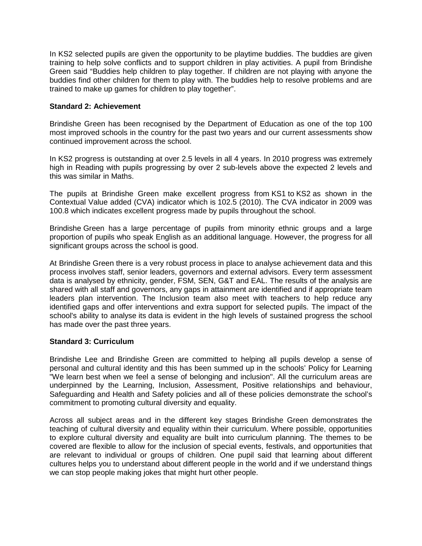In KS2 selected pupils are given the opportunity to be playtime buddies. The buddies are given training to help solve conflicts and to support children in play activities. A pupil from Brindishe Green said "Buddies help children to play together. If children are not playing with anyone the buddies find other children for them to play with. The buddies help to resolve problems and are trained to make up games for children to play together".

# **Standard 2: Achievement**

Brindishe Green has been recognised by the Department of Education as one of the top 100 most improved schools in the country for the past two years and our current assessments show continued improvement across the school.

In KS2 progress is outstanding at over 2.5 levels in all 4 years. In 2010 progress was extremely high in Reading with pupils progressing by over 2 sub-levels above the expected 2 levels and this was similar in Maths.

The pupils at Brindishe Green make excellent progress from KS1 to KS2 as shown in the Contextual Value added (CVA) indicator which is 102.5 (2010). The CVA indicator in 2009 was 100.8 which indicates excellent progress made by pupils throughout the school.

Brindishe Green has a large percentage of pupils from minority ethnic groups and a large proportion of pupils who speak English as an additional language. However, the progress for all significant groups across the school is good.

At Brindishe Green there is a very robust process in place to analyse achievement data and this process involves staff, senior leaders, governors and external advisors. Every term assessment data is analysed by ethnicity, gender, FSM, SEN, G&T and EAL. The results of the analysis are shared with all staff and governors, any gaps in attainment are identified and if appropriate team leaders plan intervention. The Inclusion team also meet with teachers to help reduce any identified gaps and offer interventions and extra support for selected pupils. The impact of the school's ability to analyse its data is evident in the high levels of sustained progress the school has made over the past three years.

# **Standard 3: Curriculum**

Brindishe Lee and Brindishe Green are committed to helping all pupils develop a sense of personal and cultural identity and this has been summed up in the schools' Policy for Learning "We learn best when we feel a sense of belonging and inclusion". All the curriculum areas are underpinned by the Learning, Inclusion, Assessment, Positive relationships and behaviour, Safeguarding and Health and Safety policies and all of these policies demonstrate the school's commitment to promoting cultural diversity and equality.

Across all subject areas and in the different key stages Brindishe Green demonstrates the teaching of cultural diversity and equality within their curriculum. Where possible, opportunities to explore cultural diversity and equality are built into curriculum planning. The themes to be covered are flexible to allow for the inclusion of special events, festivals, and opportunities that are relevant to individual or groups of children. One pupil said that learning about different cultures helps you to understand about different people in the world and if we understand things we can stop people making jokes that might hurt other people.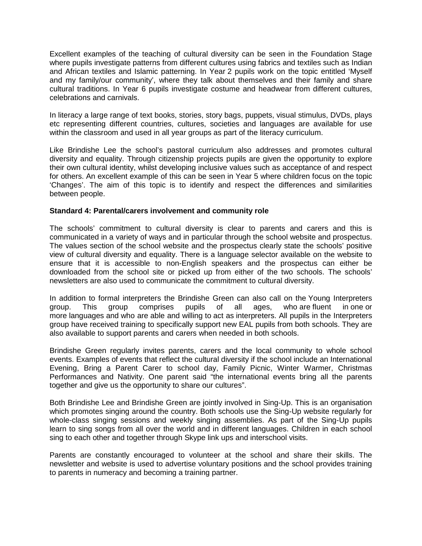Excellent examples of the teaching of cultural diversity can be seen in the Foundation Stage where pupils investigate patterns from different cultures using fabrics and textiles such as Indian and African textiles and Islamic patterning. In Year 2 pupils work on the topic entitled 'Myself and my family/our community', where they talk about themselves and their family and share cultural traditions. In Year 6 pupils investigate costume and headwear from different cultures, celebrations and carnivals.

In literacy a large range of text books, stories, story bags, puppets, visual stimulus, DVDs, plays etc representing different countries, cultures, societies and languages are available for use within the classroom and used in all year groups as part of the literacy curriculum.

Like Brindishe Lee the school's pastoral curriculum also addresses and promotes cultural diversity and equality. Through citizenship projects pupils are given the opportunity to explore their own cultural identity, whilst developing inclusive values such as acceptance of and respect for others. An excellent example of this can be seen in Year 5 where children focus on the topic 'Changes'. The aim of this topic is to identify and respect the differences and similarities between people.

## **Standard 4: Parental/carers involvement and community role**

The schools' commitment to cultural diversity is clear to parents and carers and this is communicated in a variety of ways and in particular through the school website and prospectus. The values section of the school website and the prospectus clearly state the schools' positive view of cultural diversity and equality. There is a language selector available on the website to ensure that it is accessible to non-English speakers and the prospectus can either be downloaded from the school site or picked up from either of the two schools. The schools' newsletters are also used to communicate the commitment to cultural diversity.

In addition to formal interpreters the Brindishe Green can also call on the Young Interpreters group. This group comprises pupils of all ages, who are fluent in one or more languages and who are able and willing to act as interpreters. All pupils in the Interpreters group have received training to specifically support new EAL pupils from both schools. They are also available to support parents and carers when needed in both schools.

Brindishe Green regularly invites parents, carers and the local community to whole school events. Examples of events that reflect the cultural diversity if the school include an International Evening, Bring a Parent Carer to school day, Family Picnic, Winter Warmer, Christmas Performances and Nativity. One parent said "the international events bring all the parents together and give us the opportunity to share our cultures".

Both Brindishe Lee and Brindishe Green are jointly involved in Sing-Up. This is an organisation which promotes singing around the country. Both schools use the Sing-Up website regularly for whole-class singing sessions and weekly singing assemblies. As part of the Sing-Up pupils learn to sing songs from all over the world and in different languages. Children in each school sing to each other and together through Skype link ups and interschool visits.

Parents are constantly encouraged to volunteer at the school and share their skills. The newsletter and website is used to advertise voluntary positions and the school provides training to parents in numeracy and becoming a training partner.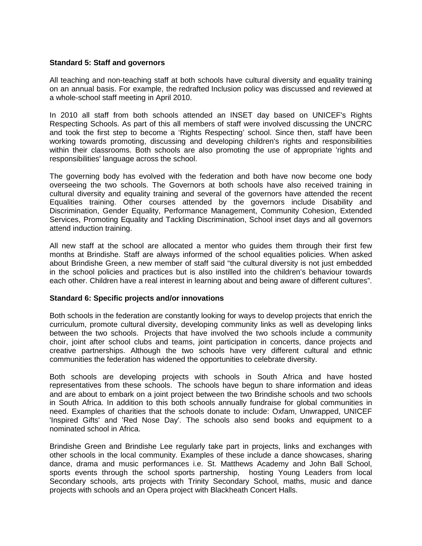## **Standard 5: Staff and governors**

All teaching and non-teaching staff at both schools have cultural diversity and equality training on an annual basis. For example, the redrafted Inclusion policy was discussed and reviewed at a whole-school staff meeting in April 2010.

In 2010 all staff from both schools attended an INSET day based on UNICEF's Rights Respecting Schools. As part of this all members of staff were involved discussing the UNCRC and took the first step to become a 'Rights Respecting' school. Since then, staff have been working towards promoting, discussing and developing children's rights and responsibilities within their classrooms. Both schools are also promoting the use of appropriate 'rights and responsibilities' language across the school.

The governing body has evolved with the federation and both have now become one body overseeing the two schools. The Governors at both schools have also received training in cultural diversity and equality training and several of the governors have attended the recent Equalities training. Other courses attended by the governors include Disability and Discrimination, Gender Equality, Performance Management, Community Cohesion, Extended Services, Promoting Equality and Tackling Discrimination, School inset days and all governors attend induction training.

All new staff at the school are allocated a mentor who guides them through their first few months at Brindishe. Staff are always informed of the school equalities policies. When asked about Brindishe Green, a new member of staff said "the cultural diversity is not just embedded in the school policies and practices but is also instilled into the children's behaviour towards each other. Children have a real interest in learning about and being aware of different cultures".

# **Standard 6: Specific projects and/or innovations**

Both schools in the federation are constantly looking for ways to develop projects that enrich the curriculum, promote cultural diversity, developing community links as well as developing links between the two schools. Projects that have involved the two schools include a community choir, joint after school clubs and teams, joint participation in concerts, dance projects and creative partnerships. Although the two schools have very different cultural and ethnic communities the federation has widened the opportunities to celebrate diversity.

Both schools are developing projects with schools in South Africa and have hosted representatives from these schools. The schools have begun to share information and ideas and are about to embark on a joint project between the two Brindishe schools and two schools in South Africa. In addition to this both schools annually fundraise for global communities in need. Examples of charities that the schools donate to include: Oxfam, Unwrapped, UNICEF 'Inspired Gifts' and 'Red Nose Day'. The schools also send books and equipment to a nominated school in Africa.

Brindishe Green and Brindishe Lee regularly take part in projects, links and exchanges with other schools in the local community. Examples of these include a dance showcases, sharing dance, drama and music performances i.e. St. Matthews Academy and John Ball School, sports events through the school sports partnership, hosting Young Leaders from local Secondary schools, arts projects with Trinity Secondary School, maths, music and dance projects with schools and an Opera project with Blackheath Concert Halls.